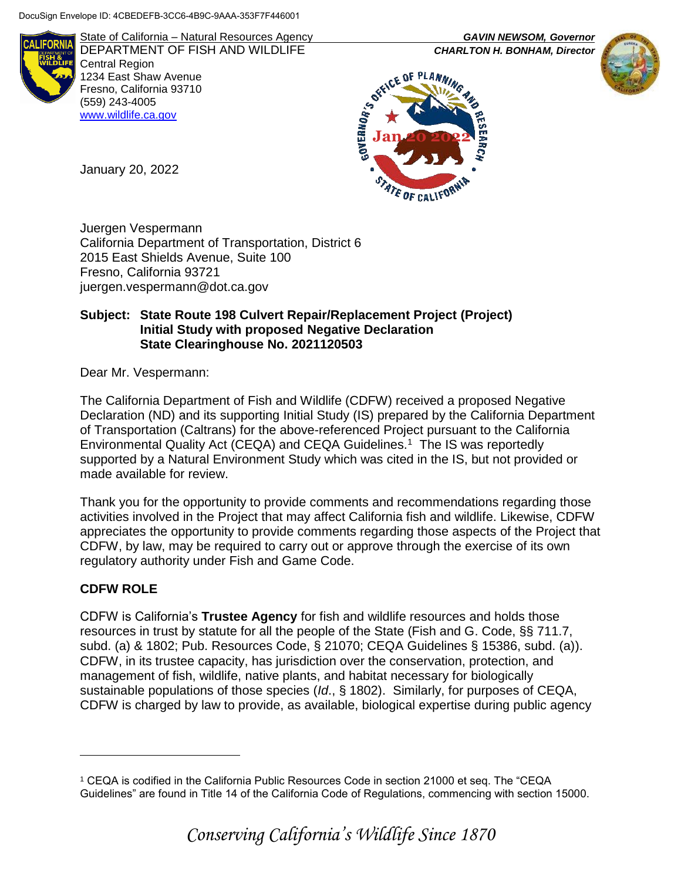

State of California – Natural Resources Agency *GAVIN NEWSOM, Governor* DEPARTMENT OF FISH AND WILDLIFE *CHARLTON H. BONHAM, Director*  Central Region 1234 East Shaw Avenue Fresno, California 93710 (559) 243-4005 [www.wildlife.ca.gov](http://www.cdfw.ca.gov/)





January 20, 2022

Juergen Vespermann California Department of Transportation, District 6 2015 East Shields Avenue, Suite 100 Fresno, California 93721 juergen.vespermann@dot.ca.gov

### **Subject: State Route 198 Culvert Repair/Replacement Project (Project) Initial Study with proposed Negative Declaration State Clearinghouse No. 2021120503**

Dear Mr. Vespermann:

The California Department of Fish and Wildlife (CDFW) received a proposed Negative Declaration (ND) and its supporting Initial Study (IS) prepared by the California Department of Transportation (Caltrans) for the above-referenced Project pursuant to the California Environmental Quality Act (CEQA) and CEQA Guidelines.<sup>1</sup> The IS was reportedly supported by a Natural Environment Study which was cited in the IS, but not provided or made available for review.

Thank you for the opportunity to provide comments and recommendations regarding those activities involved in the Project that may affect California fish and wildlife. Likewise, CDFW appreciates the opportunity to provide comments regarding those aspects of the Project that CDFW, by law, may be required to carry out or approve through the exercise of its own regulatory authority under Fish and Game Code.

# **CDFW ROLE**

 $\overline{a}$ 

CDFW is California's **Trustee Agency** for fish and wildlife resources and holds those resources in trust by statute for all the people of the State (Fish and G. Code, §§ 711.7, subd. (a) & 1802; Pub. Resources Code, § 21070; CEQA Guidelines § 15386, subd. (a)). CDFW, in its trustee capacity, has jurisdiction over the conservation, protection, and management of fish, wildlife, native plants, and habitat necessary for biologically sustainable populations of those species (*Id*., § 1802). Similarly, for purposes of CEQA, CDFW is charged by law to provide, as available, biological expertise during public agency

<sup>1</sup> CEQA is codified in the California Public Resources Code in section 21000 et seq. The "CEQA Guidelines" are found in Title 14 of the California Code of Regulations, commencing with section 15000.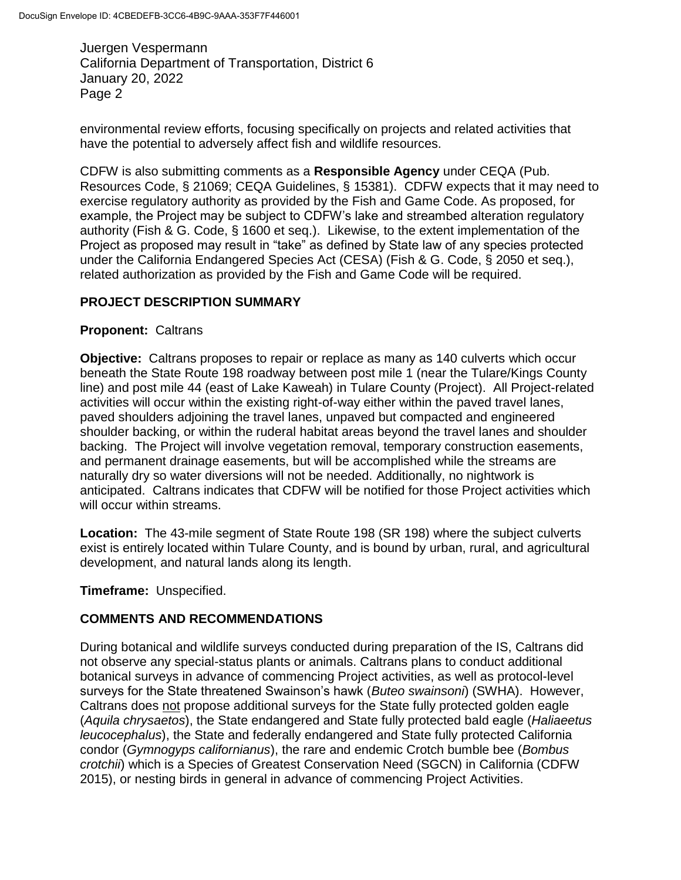environmental review efforts, focusing specifically on projects and related activities that have the potential to adversely affect fish and wildlife resources.

CDFW is also submitting comments as a **Responsible Agency** under CEQA (Pub. Resources Code, § 21069; CEQA Guidelines, § 15381). CDFW expects that it may need to exercise regulatory authority as provided by the Fish and Game Code. As proposed, for example, the Project may be subject to CDFW's lake and streambed alteration regulatory authority (Fish & G. Code, § 1600 et seq.). Likewise, to the extent implementation of the Project as proposed may result in "take" as defined by State law of any species protected under the California Endangered Species Act (CESA) (Fish & G. Code, § 2050 et seq.), related authorization as provided by the Fish and Game Code will be required.

## **PROJECT DESCRIPTION SUMMARY**

## **Proponent:** Caltrans

**Objective:** Caltrans proposes to repair or replace as many as 140 culverts which occur beneath the State Route 198 roadway between post mile 1 (near the Tulare/Kings County line) and post mile 44 (east of Lake Kaweah) in Tulare County (Project). All Project-related activities will occur within the existing right-of-way either within the paved travel lanes, paved shoulders adjoining the travel lanes, unpaved but compacted and engineered shoulder backing, or within the ruderal habitat areas beyond the travel lanes and shoulder backing. The Project will involve vegetation removal, temporary construction easements, and permanent drainage easements, but will be accomplished while the streams are naturally dry so water diversions will not be needed. Additionally, no nightwork is anticipated. Caltrans indicates that CDFW will be notified for those Project activities which will occur within streams.

**Location:** The 43-mile segment of State Route 198 (SR 198) where the subject culverts exist is entirely located within Tulare County, and is bound by urban, rural, and agricultural development, and natural lands along its length.

**Timeframe:** Unspecified.

## **COMMENTS AND RECOMMENDATIONS**

During botanical and wildlife surveys conducted during preparation of the IS, Caltrans did not observe any special-status plants or animals. Caltrans plans to conduct additional botanical surveys in advance of commencing Project activities, as well as protocol-level surveys for the State threatened Swainson's hawk (*Buteo swainsoni*) (SWHA). However, Caltrans does not propose additional surveys for the State fully protected golden eagle (*Aquila chrysaetos*), the State endangered and State fully protected bald eagle (*Haliaeetus leucocephalus*), the State and federally endangered and State fully protected California condor (*Gymnogyps californianus*), the rare and endemic Crotch bumble bee (*Bombus crotchii*) which is a Species of Greatest Conservation Need (SGCN) in California (CDFW 2015), or nesting birds in general in advance of commencing Project Activities.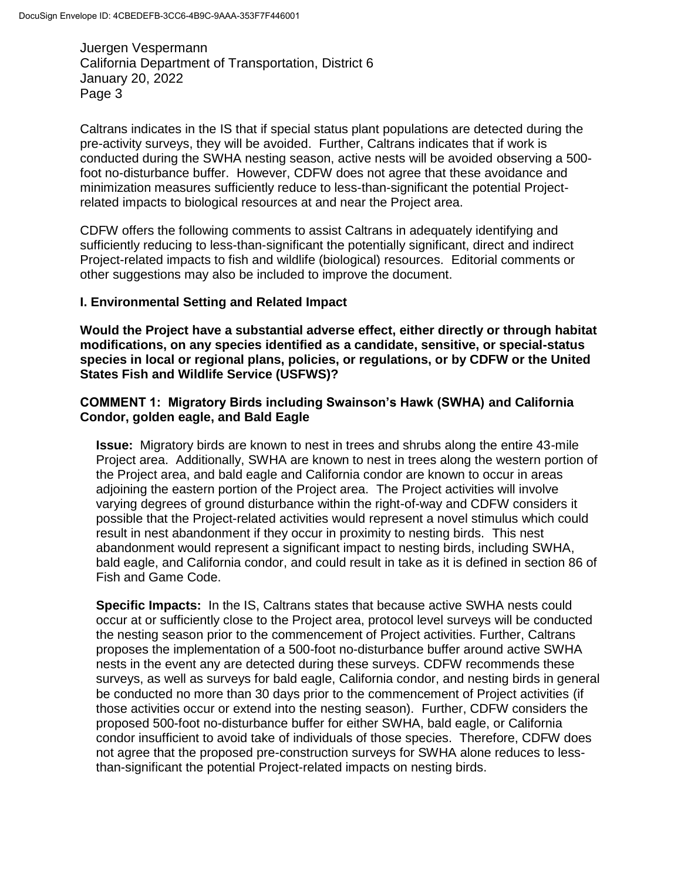Caltrans indicates in the IS that if special status plant populations are detected during the pre-activity surveys, they will be avoided. Further, Caltrans indicates that if work is conducted during the SWHA nesting season, active nests will be avoided observing a 500 foot no-disturbance buffer. However, CDFW does not agree that these avoidance and minimization measures sufficiently reduce to less-than-significant the potential Projectrelated impacts to biological resources at and near the Project area.

CDFW offers the following comments to assist Caltrans in adequately identifying and sufficiently reducing to less-than-significant the potentially significant, direct and indirect Project-related impacts to fish and wildlife (biological) resources. Editorial comments or other suggestions may also be included to improve the document.

### **I. Environmental Setting and Related Impact**

**Would the Project have a substantial adverse effect, either directly or through habitat modifications, on any species identified as a candidate, sensitive, or special-status species in local or regional plans, policies, or regulations, or by CDFW or the United States Fish and Wildlife Service (USFWS)?**

### **COMMENT 1: Migratory Birds including Swainson's Hawk (SWHA) and California Condor, golden eagle, and Bald Eagle**

**Issue:** Migratory birds are known to nest in trees and shrubs along the entire 43-mile Project area. Additionally, SWHA are known to nest in trees along the western portion of the Project area, and bald eagle and California condor are known to occur in areas adjoining the eastern portion of the Project area. The Project activities will involve varying degrees of ground disturbance within the right-of-way and CDFW considers it possible that the Project-related activities would represent a novel stimulus which could result in nest abandonment if they occur in proximity to nesting birds. This nest abandonment would represent a significant impact to nesting birds, including SWHA, bald eagle, and California condor, and could result in take as it is defined in section 86 of Fish and Game Code.

**Specific Impacts:** In the IS, Caltrans states that because active SWHA nests could occur at or sufficiently close to the Project area, protocol level surveys will be conducted the nesting season prior to the commencement of Project activities. Further, Caltrans proposes the implementation of a 500-foot no-disturbance buffer around active SWHA nests in the event any are detected during these surveys. CDFW recommends these surveys, as well as surveys for bald eagle, California condor, and nesting birds in general be conducted no more than 30 days prior to the commencement of Project activities (if those activities occur or extend into the nesting season). Further, CDFW considers the proposed 500-foot no-disturbance buffer for either SWHA, bald eagle, or California condor insufficient to avoid take of individuals of those species. Therefore, CDFW does not agree that the proposed pre-construction surveys for SWHA alone reduces to lessthan-significant the potential Project-related impacts on nesting birds.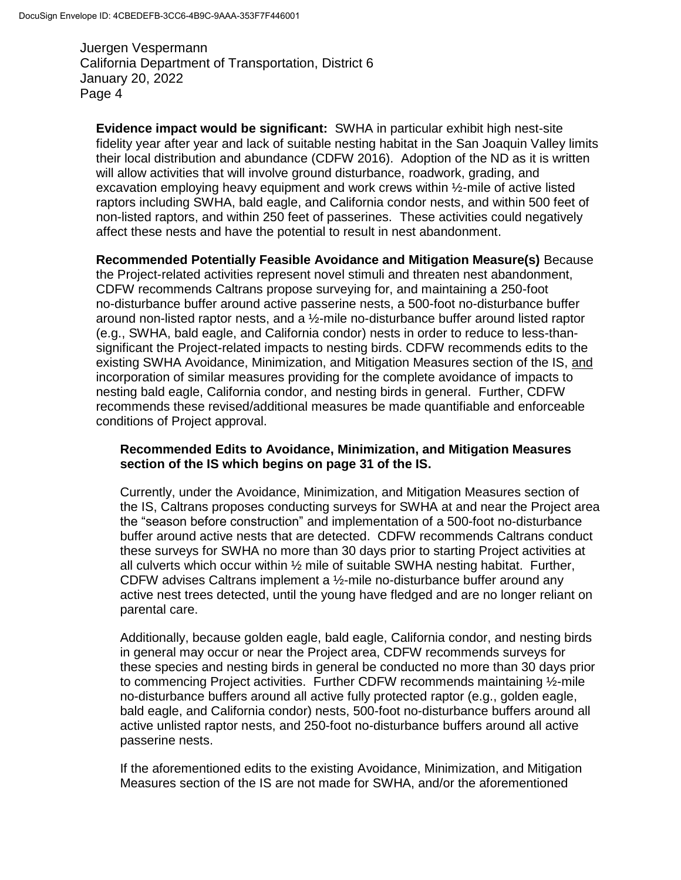**Evidence impact would be significant:** SWHA in particular exhibit high nest-site fidelity year after year and lack of suitable nesting habitat in the San Joaquin Valley limits their local distribution and abundance (CDFW 2016). Adoption of the ND as it is written will allow activities that will involve ground disturbance, roadwork, grading, and excavation employing heavy equipment and work crews within ½-mile of active listed raptors including SWHA, bald eagle, and California condor nests, and within 500 feet of non-listed raptors, and within 250 feet of passerines. These activities could negatively affect these nests and have the potential to result in nest abandonment.

**Recommended Potentially Feasible Avoidance and Mitigation Measure(s)** Because the Project-related activities represent novel stimuli and threaten nest abandonment, CDFW recommends Caltrans propose surveying for, and maintaining a 250-foot no-disturbance buffer around active passerine nests, a 500-foot no-disturbance buffer around non-listed raptor nests, and a ½-mile no-disturbance buffer around listed raptor (e.g., SWHA, bald eagle, and California condor) nests in order to reduce to less-thansignificant the Project-related impacts to nesting birds. CDFW recommends edits to the existing SWHA Avoidance, Minimization, and Mitigation Measures section of the IS, and incorporation of similar measures providing for the complete avoidance of impacts to nesting bald eagle, California condor, and nesting birds in general. Further, CDFW recommends these revised/additional measures be made quantifiable and enforceable conditions of Project approval.

#### **Recommended Edits to Avoidance, Minimization, and Mitigation Measures section of the IS which begins on page 31 of the IS.**

Currently, under the Avoidance, Minimization, and Mitigation Measures section of the IS, Caltrans proposes conducting surveys for SWHA at and near the Project area the "season before construction" and implementation of a 500-foot no-disturbance buffer around active nests that are detected. CDFW recommends Caltrans conduct these surveys for SWHA no more than 30 days prior to starting Project activities at all culverts which occur within  $\frac{1}{2}$  mile of suitable SWHA nesting habitat. Further, CDFW advises Caltrans implement a ½-mile no-disturbance buffer around any active nest trees detected, until the young have fledged and are no longer reliant on parental care.

Additionally, because golden eagle, bald eagle, California condor, and nesting birds in general may occur or near the Project area, CDFW recommends surveys for these species and nesting birds in general be conducted no more than 30 days prior to commencing Project activities. Further CDFW recommends maintaining ½-mile no-disturbance buffers around all active fully protected raptor (e.g., golden eagle, bald eagle, and California condor) nests, 500-foot no-disturbance buffers around all active unlisted raptor nests, and 250-foot no-disturbance buffers around all active passerine nests.

If the aforementioned edits to the existing Avoidance, Minimization, and Mitigation Measures section of the IS are not made for SWHA, and/or the aforementioned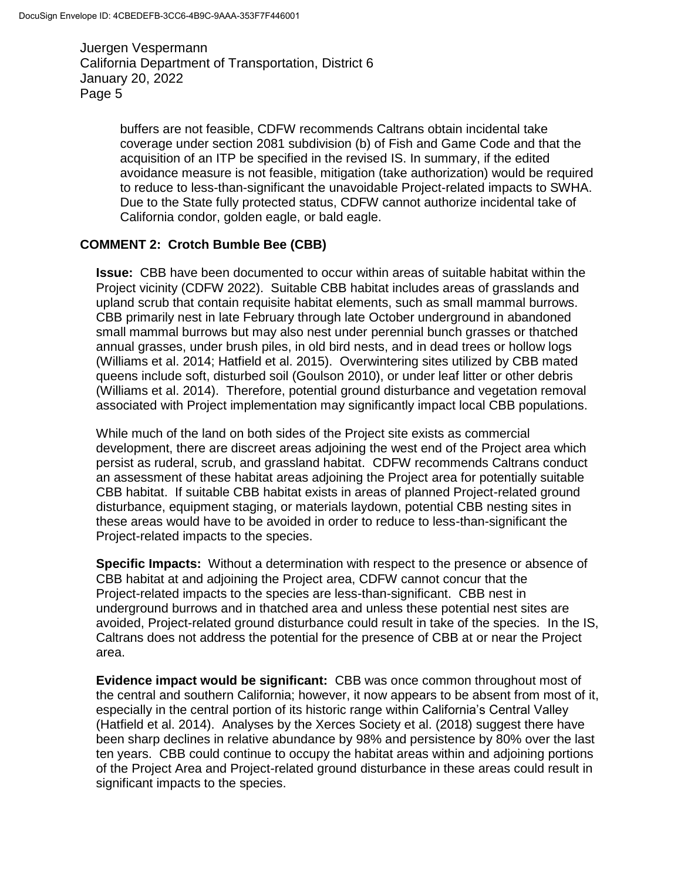> buffers are not feasible, CDFW recommends Caltrans obtain incidental take coverage under section 2081 subdivision (b) of Fish and Game Code and that the acquisition of an ITP be specified in the revised IS. In summary, if the edited avoidance measure is not feasible, mitigation (take authorization) would be required to reduce to less-than-significant the unavoidable Project-related impacts to SWHA. Due to the State fully protected status, CDFW cannot authorize incidental take of California condor, golden eagle, or bald eagle.

#### **COMMENT 2: Crotch Bumble Bee (CBB)**

**Issue:** CBB have been documented to occur within areas of suitable habitat within the Project vicinity (CDFW 2022). Suitable CBB habitat includes areas of grasslands and upland scrub that contain requisite habitat elements, such as small mammal burrows. CBB primarily nest in late February through late October underground in abandoned small mammal burrows but may also nest under perennial bunch grasses or thatched annual grasses, under brush piles, in old bird nests, and in dead trees or hollow logs (Williams et al. 2014; Hatfield et al. 2015). Overwintering sites utilized by CBB mated queens include soft, disturbed soil (Goulson 2010), or under leaf litter or other debris (Williams et al. 2014). Therefore, potential ground disturbance and vegetation removal associated with Project implementation may significantly impact local CBB populations.

While much of the land on both sides of the Project site exists as commercial development, there are discreet areas adjoining the west end of the Project area which persist as ruderal, scrub, and grassland habitat. CDFW recommends Caltrans conduct an assessment of these habitat areas adjoining the Project area for potentially suitable CBB habitat. If suitable CBB habitat exists in areas of planned Project-related ground disturbance, equipment staging, or materials laydown, potential CBB nesting sites in these areas would have to be avoided in order to reduce to less-than-significant the Project-related impacts to the species.

**Specific Impacts:** Without a determination with respect to the presence or absence of CBB habitat at and adjoining the Project area, CDFW cannot concur that the Project-related impacts to the species are less-than-significant. CBB nest in underground burrows and in thatched area and unless these potential nest sites are avoided, Project-related ground disturbance could result in take of the species. In the IS, Caltrans does not address the potential for the presence of CBB at or near the Project area.

**Evidence impact would be significant:** CBB was once common throughout most of the central and southern California; however, it now appears to be absent from most of it, especially in the central portion of its historic range within California's Central Valley (Hatfield et al. 2014). Analyses by the Xerces Society et al. (2018) suggest there have been sharp declines in relative abundance by 98% and persistence by 80% over the last ten years. CBB could continue to occupy the habitat areas within and adjoining portions of the Project Area and Project-related ground disturbance in these areas could result in significant impacts to the species.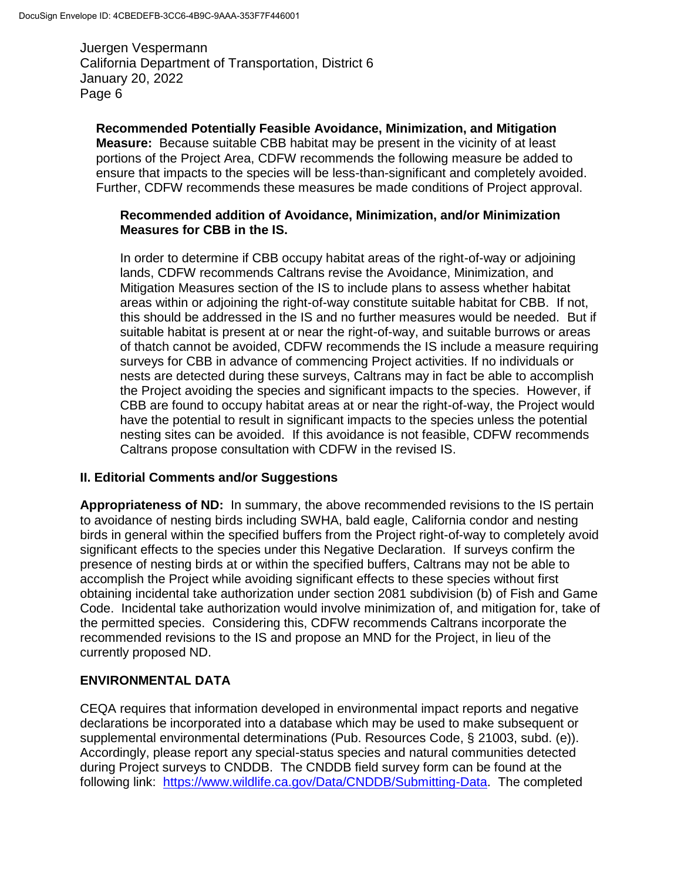**Recommended Potentially Feasible Avoidance, Minimization, and Mitigation Measure:** Because suitable CBB habitat may be present in the vicinity of at least portions of the Project Area, CDFW recommends the following measure be added to ensure that impacts to the species will be less-than-significant and completely avoided. Further, CDFW recommends these measures be made conditions of Project approval.

#### **Recommended addition of Avoidance, Minimization, and/or Minimization Measures for CBB in the IS.**

In order to determine if CBB occupy habitat areas of the right-of-way or adjoining lands, CDFW recommends Caltrans revise the Avoidance, Minimization, and Mitigation Measures section of the IS to include plans to assess whether habitat areas within or adjoining the right-of-way constitute suitable habitat for CBB. If not, this should be addressed in the IS and no further measures would be needed. But if suitable habitat is present at or near the right-of-way, and suitable burrows or areas of thatch cannot be avoided, CDFW recommends the IS include a measure requiring surveys for CBB in advance of commencing Project activities. If no individuals or nests are detected during these surveys, Caltrans may in fact be able to accomplish the Project avoiding the species and significant impacts to the species. However, if CBB are found to occupy habitat areas at or near the right-of-way, the Project would have the potential to result in significant impacts to the species unless the potential nesting sites can be avoided. If this avoidance is not feasible, CDFW recommends Caltrans propose consultation with CDFW in the revised IS.

## **II. Editorial Comments and/or Suggestions**

**Appropriateness of ND:** In summary, the above recommended revisions to the IS pertain to avoidance of nesting birds including SWHA, bald eagle, California condor and nesting birds in general within the specified buffers from the Project right-of-way to completely avoid significant effects to the species under this Negative Declaration. If surveys confirm the presence of nesting birds at or within the specified buffers, Caltrans may not be able to accomplish the Project while avoiding significant effects to these species without first obtaining incidental take authorization under section 2081 subdivision (b) of Fish and Game Code. Incidental take authorization would involve minimization of, and mitigation for, take of the permitted species. Considering this, CDFW recommends Caltrans incorporate the recommended revisions to the IS and propose an MND for the Project, in lieu of the currently proposed ND.

## **ENVIRONMENTAL DATA**

CEQA requires that information developed in environmental impact reports and negative declarations be incorporated into a database which may be used to make subsequent or supplemental environmental determinations (Pub. Resources Code, § 21003, subd. (e)). Accordingly, please report any special-status species and natural communities detected during Project surveys to CNDDB. The CNDDB field survey form can be found at the following link: [https://www.wildlife.ca.gov/Data/CNDDB/Submitting-Data.](https://www.wildlife.ca.gov/Data/CNDDB/Submitting-Data) The completed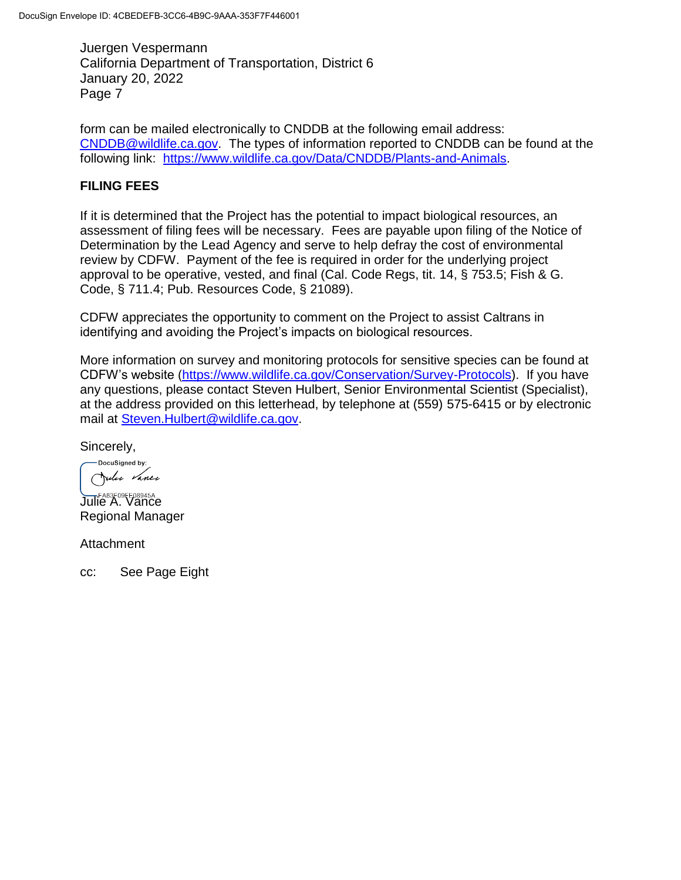form can be mailed electronically to CNDDB at the following email address: [CNDDB@wildlife.ca.gov.](mailto:CNDDB@wildlife.ca.gov) The types of information reported to CNDDB can be found at the following link: [https://www.wildlife.ca.gov/Data/CNDDB/Plants-and-Animals.](https://www.wildlife.ca.gov/Data/CNDDB/Plants-and-Animals)

## **FILING FEES**

If it is determined that the Project has the potential to impact biological resources, an assessment of filing fees will be necessary. Fees are payable upon filing of the Notice of Determination by the Lead Agency and serve to help defray the cost of environmental review by CDFW. Payment of the fee is required in order for the underlying project approval to be operative, vested, and final (Cal. Code Regs, tit. 14, § 753.5; Fish & G. Code, § 711.4; Pub. Resources Code, § 21089).

CDFW appreciates the opportunity to comment on the Project to assist Caltrans in identifying and avoiding the Project's impacts on biological resources.

More information on survey and monitoring protocols for sensitive species can be found at CDFW's website [\(https://www.wildlife.ca.gov/Conservation/Survey-Protocols\)](https://www.wildlife.ca.gov/Conservation/Survey-Protocols). If you have any questions, please contact Steven Hulbert, Senior Environmental Scientist (Specialist), at the address provided on this letterhead, by telephone at (559) 575-6415 or by electronic mail at [Steven.Hulbert@wildlife.ca.gov.](mailto:Steven.Hulbert@wildlife.ca.gov)

Sincerely,

-DocuSigned by: Julie Vance

Julie A. Vance Regional Manager

**Attachment** 

cc: See Page Eight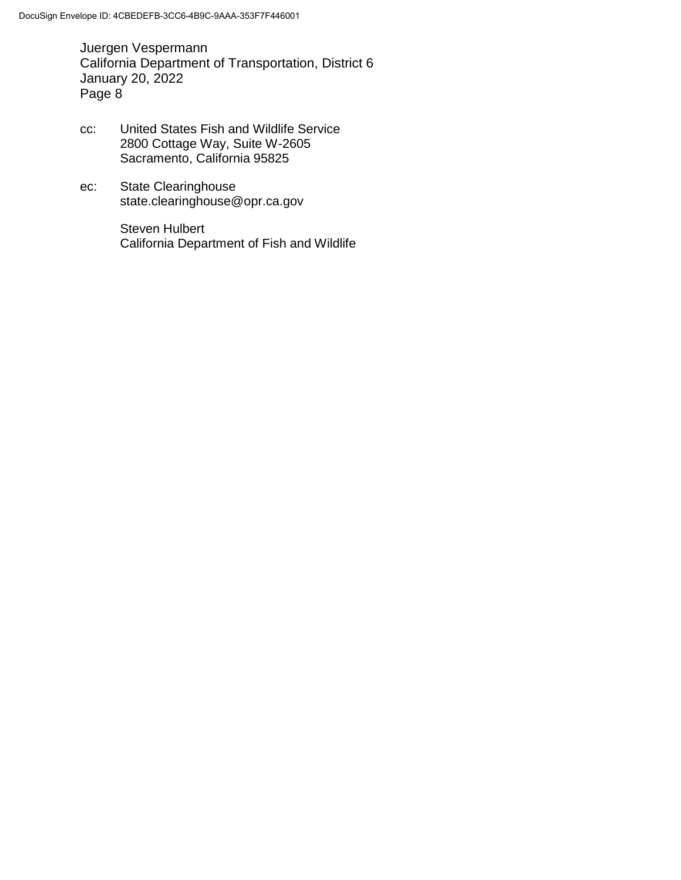- cc: United States Fish and Wildlife Service 2800 Cottage Way, Suite W-2605 Sacramento, California 95825
- ec: State Clearinghouse state.clearinghouse@opr.ca.gov

Steven Hulbert California Department of Fish and Wildlife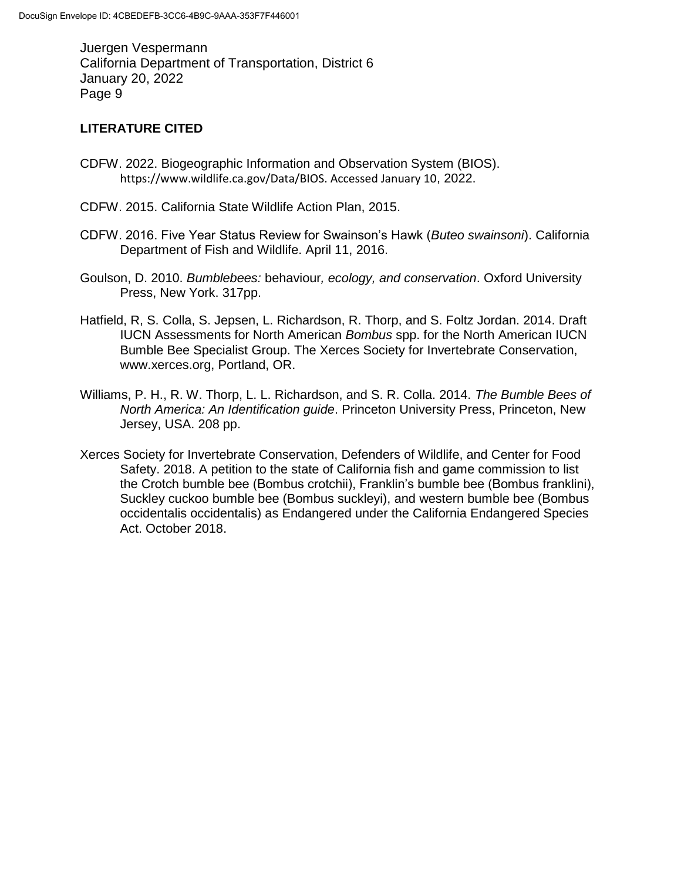#### **LITERATURE CITED**

- CDFW. 2022. Biogeographic Information and Observation System (BIOS). https://www.wildlife.ca.gov/Data/BIOS. Accessed January 10, 2022.
- CDFW. 2015. California State Wildlife Action Plan, 2015.
- CDFW. 2016. Five Year Status Review for Swainson's Hawk (*Buteo swainsoni*). California Department of Fish and Wildlife. April 11, 2016.
- Goulson, D. 2010. *Bumblebees:* behaviour*, ecology, and conservation*. Oxford University Press, New York. 317pp.
- Hatfield, R, S. Colla, S. Jepsen, L. Richardson, R. Thorp, and S. Foltz Jordan. 2014. Draft IUCN Assessments for North American *Bombus* spp. for the North American IUCN Bumble Bee Specialist Group. The Xerces Society for Invertebrate Conservation, www.xerces.org, Portland, OR.
- Williams, P. H., R. W. Thorp, L. L. Richardson, and S. R. Colla. 2014. *The Bumble Bees of North America: An Identification guide*. Princeton University Press, Princeton, New Jersey, USA. 208 pp.
- Xerces Society for Invertebrate Conservation, Defenders of Wildlife, and Center for Food Safety. 2018. A petition to the state of California fish and game commission to list the Crotch bumble bee (Bombus crotchii), Franklin's bumble bee (Bombus franklini), Suckley cuckoo bumble bee (Bombus suckleyi), and western bumble bee (Bombus occidentalis occidentalis) as Endangered under the California Endangered Species Act. October 2018.